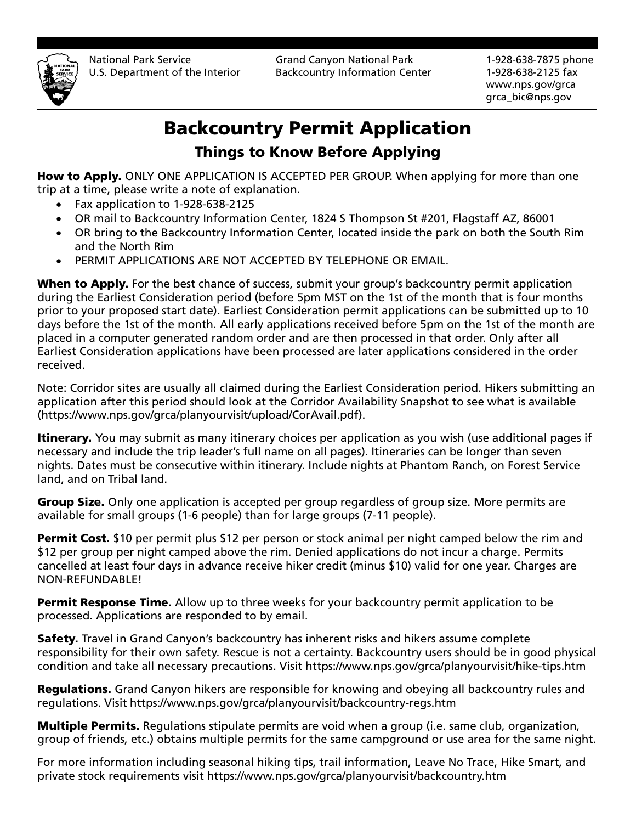National Park Service U.S. Department of the Interior

Grand Canyon National Park Backcountry Information Center

1-928-638-7875 phone 1-928-638-2125 fax www.nps.gov/grca grca\_bic@nps.gov

# Backcountry Permit Application Things to Know Before Applying

How to Apply. ONLY ONE APPLICATION IS ACCEPTED PER GROUP. When applying for more than one trip at a time, please write a note of explanation.

- Fax application to 1-928-638-2125
- OR mail to Backcountry Information Center, 1824 S Thompson St #201, Flagstaff AZ, 86001
- OR bring to the Backcountry Information Center, located inside the park on both the South Rim and the North Rim
- PERMIT APPLICATIONS ARE NOT ACCEPTED BY TELEPHONE OR EMAIL.

When to Apply. For the best chance of success, submit your group's backcountry permit application during the Earliest Consideration period (before 5pm MST on the 1st of the month that is four months prior to your proposed start date). Earliest Consideration permit applications can be submitted up to 10 days before the 1st of the month. All early applications received before 5pm on the 1st of the month are placed in a computer generated random order and are then processed in that order. Only after all Earliest Consideration applications have been processed are later applications considered in the order received.

Note: Corridor sites are usually all claimed during the Earliest Consideration period. Hikers submitting an application after this period should look at the Corridor Availability Snapshot to see what is available (https://www.nps.gov/grca/planyourvisit/upload/CorAvail.pdf).

**Itinerary.** You may submit as many itinerary choices per application as you wish (use additional pages if necessary and include the trip leader's full name on all pages). Itineraries can be longer than seven nights. Dates must be consecutive within itinerary. Include nights at Phantom Ranch, on Forest Service land, and on Tribal land.

Group Size. Only one application is accepted per group regardless of group size. More permits are available for small groups (1-6 people) than for large groups (7-11 people).

**Permit Cost.** \$10 per permit plus \$12 per person or stock animal per night camped below the rim and \$12 per group per night camped above the rim. Denied applications do not incur a charge. Permits cancelled at least four days in advance receive hiker credit (minus \$10) valid for one year. Charges are NON-REFUNDABLE!

**Permit Response Time.** Allow up to three weeks for your backcountry permit application to be processed. Applications are responded to by email.

**Safety.** Travel in Grand Canyon's backcountry has inherent risks and hikers assume complete responsibility for their own safety. Rescue is not a certainty. Backcountry users should be in good physical condition and take all necessary precautions. Visit https://www.nps.gov/grca/planyourvisit/hike-tips.htm

Regulations. Grand Canyon hikers are responsible for knowing and obeying all backcountry rules and regulations. Visit https://www.nps.gov/grca/planyourvisit/backcountry-regs.htm

**Multiple Permits.** Regulations stipulate permits are void when a group (i.e. same club, organization, group of friends, etc.) obtains multiple permits for the same campground or use area for the same night.

For more information including seasonal hiking tips, trail information, Leave No Trace, Hike Smart, and private stock requirements visit https://www.nps.gov/grca/planyourvisit/backcountry.htm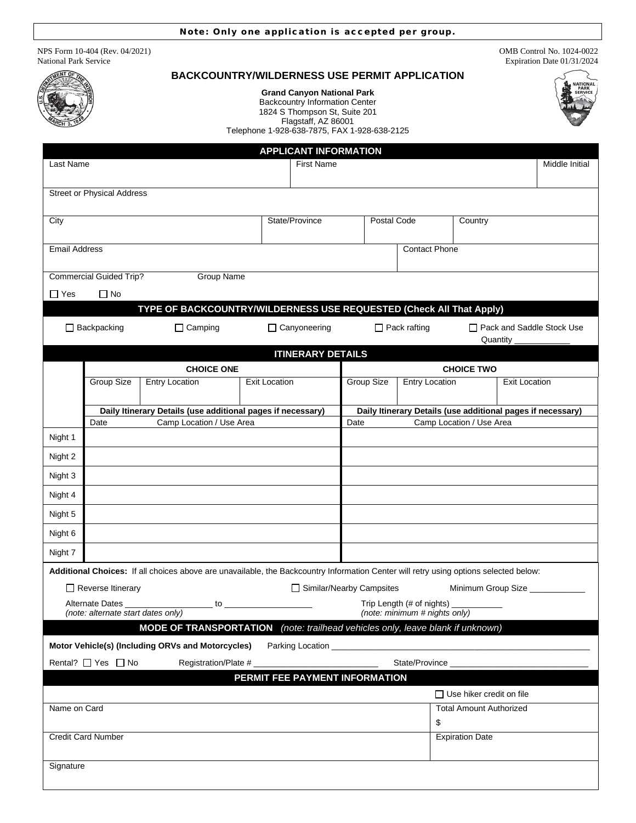### Note: Only one application is accepted per group.

NPS Form 10-404 (Rev. 04/2021) National Park Service

OMB Control No. 1024-0022 Expiration Date 01/31/2024

## **BACKCOUNTRY/WILDERNESS USE PERMIT APPLICATION**

## **Grand Canyon National Park**

Backcountry Information Center 1824 S Thompson St, Suite 201 Flagstaff, AZ 86001 Telephone 1-928-638-7875, FAX 1-928-638-2125

| <b>APPLICANT INFORMATION</b>                                                                                                                                          |                                                                    |  |                     |                     |                                     |                                                             |                                |                             |                |
|-----------------------------------------------------------------------------------------------------------------------------------------------------------------------|--------------------------------------------------------------------|--|---------------------|---------------------|-------------------------------------|-------------------------------------------------------------|--------------------------------|-----------------------------|----------------|
| Last Name<br><b>First Name</b>                                                                                                                                        |                                                                    |  |                     |                     |                                     |                                                             |                                |                             | Middle Initial |
|                                                                                                                                                                       |                                                                    |  |                     |                     |                                     |                                                             |                                |                             |                |
| <b>Street or Physical Address</b>                                                                                                                                     |                                                                    |  |                     |                     |                                     |                                                             |                                |                             |                |
| State/Province<br>City                                                                                                                                                |                                                                    |  |                     |                     | Postal Code<br>Country              |                                                             |                                |                             |                |
|                                                                                                                                                                       |                                                                    |  |                     |                     |                                     |                                                             |                                |                             |                |
| <b>Email Address</b>                                                                                                                                                  |                                                                    |  |                     |                     |                                     | <b>Contact Phone</b>                                        |                                |                             |                |
|                                                                                                                                                                       |                                                                    |  |                     |                     |                                     |                                                             |                                |                             |                |
| <b>Group Name</b><br><b>Commercial Guided Trip?</b>                                                                                                                   |                                                                    |  |                     |                     |                                     |                                                             |                                |                             |                |
| $\Box$ Yes<br>$\Box$ No                                                                                                                                               |                                                                    |  |                     |                     |                                     |                                                             |                                |                             |                |
| TYPE OF BACKCOUNTRY/WILDERNESS USE REQUESTED (Check All That Apply)                                                                                                   |                                                                    |  |                     |                     |                                     |                                                             |                                |                             |                |
| $\Box$ Backpacking<br>$\Box$ Camping                                                                                                                                  |                                                                    |  | $\Box$ Canyoneering | $\Box$ Pack rafting |                                     |                                                             |                                | □ Pack and Saddle Stock Use |                |
| Quantity _<br><b>ITINERARY DETAILS</b>                                                                                                                                |                                                                    |  |                     |                     |                                     |                                                             |                                |                             |                |
| <b>CHOICE ONE</b><br><b>CHOICE TWO</b>                                                                                                                                |                                                                    |  |                     |                     |                                     |                                                             |                                |                             |                |
|                                                                                                                                                                       | <b>Group Size</b><br><b>Entry Location</b><br><b>Exit Location</b> |  |                     |                     | Group Size<br><b>Entry Location</b> |                                                             | <b>Exit Location</b>           |                             |                |
|                                                                                                                                                                       |                                                                    |  |                     |                     |                                     |                                                             |                                |                             |                |
|                                                                                                                                                                       | Daily Itinerary Details (use additional pages if necessary)        |  |                     |                     |                                     | Daily Itinerary Details (use additional pages if necessary) |                                |                             |                |
|                                                                                                                                                                       | Camp Location / Use Area<br>Date                                   |  |                     |                     | Camp Location / Use Area<br>Date    |                                                             |                                |                             |                |
| Night 1                                                                                                                                                               |                                                                    |  |                     |                     |                                     |                                                             |                                |                             |                |
| Night 2                                                                                                                                                               |                                                                    |  |                     |                     |                                     |                                                             |                                |                             |                |
| Night 3                                                                                                                                                               |                                                                    |  |                     |                     |                                     |                                                             |                                |                             |                |
| Night 4                                                                                                                                                               |                                                                    |  |                     |                     |                                     |                                                             |                                |                             |                |
| Night 5                                                                                                                                                               |                                                                    |  |                     |                     |                                     |                                                             |                                |                             |                |
| Night 6                                                                                                                                                               |                                                                    |  |                     |                     |                                     |                                                             |                                |                             |                |
| Night 7                                                                                                                                                               |                                                                    |  |                     |                     |                                     |                                                             |                                |                             |                |
| Additional Choices: If all choices above are unavailable, the Backcountry Information Center will retry using options selected below:                                 |                                                                    |  |                     |                     |                                     |                                                             |                                |                             |                |
| □ Similar/Nearby Campsites<br>Minimum Group Size<br>$\Box$ Reverse Itinerary                                                                                          |                                                                    |  |                     |                     |                                     |                                                             |                                |                             |                |
| Trip Length (# of nights) _________                                                                                                                                   |                                                                    |  |                     |                     |                                     |                                                             |                                |                             |                |
| (note: alternate start dates only)<br>(note: minimum # nights only)                                                                                                   |                                                                    |  |                     |                     |                                     |                                                             |                                |                             |                |
| MODE OF TRANSPORTATION (note: trailhead vehicles only, leave blank if unknown)<br>Motor Vehicle(s) (Including ORVs and Motorcycles)<br>Parking Location _____________ |                                                                    |  |                     |                     |                                     |                                                             |                                |                             |                |
| State/Province<br>Rental? □ Yes □ No<br>Registration/Plate #                                                                                                          |                                                                    |  |                     |                     |                                     |                                                             |                                |                             |                |
| PERMIT FEE PAYMENT INFORMATION                                                                                                                                        |                                                                    |  |                     |                     |                                     |                                                             |                                |                             |                |
| $\Box$ Use hiker credit on file                                                                                                                                       |                                                                    |  |                     |                     |                                     |                                                             |                                |                             |                |
| Name on Card                                                                                                                                                          |                                                                    |  |                     |                     |                                     |                                                             | <b>Total Amount Authorized</b> |                             |                |
|                                                                                                                                                                       |                                                                    |  |                     |                     |                                     | \$                                                          |                                |                             |                |
| Credit Card Number                                                                                                                                                    |                                                                    |  |                     |                     |                                     |                                                             | <b>Expiration Date</b>         |                             |                |
|                                                                                                                                                                       |                                                                    |  |                     |                     |                                     |                                                             |                                |                             |                |
| Signature                                                                                                                                                             |                                                                    |  |                     |                     |                                     |                                                             |                                |                             |                |
|                                                                                                                                                                       |                                                                    |  |                     |                     |                                     |                                                             |                                |                             |                |